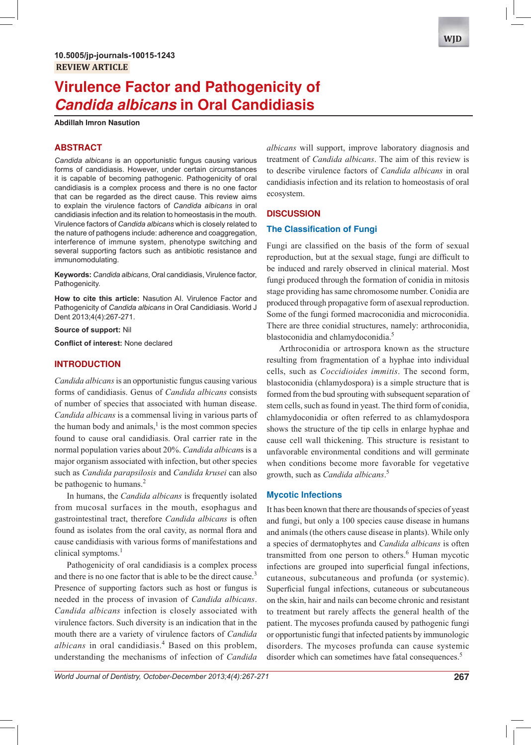# **Virulence Factor and Pathogenicity of Candida albicans in Oral Candidiasis**

**Abdillah Imron Nasution**

# **ABSTRACT**

*Candida albicans* is an opportunistic fungus causing various forms of candidiasis. However, under certain circumstances it is capable of becoming pathogenic. Pathogenicity of oral candidiasis is a complex process and there is no one factor that can be regarded as the direct cause. This review aims to explain the virulence factors of *Candida albicans* in oral candidiasis infection and its relation to homeostasis in the mouth. Virulence factors of *Candida albicans* which is closely related to the nature of pathogens include: adherence and coaggregation, interference of immune system, phenotype switching and several supporting factors such as antibiotic resistance and immunomodulating.

**Keywords:** *Candida albicans*, Oral candidiasis, Virulence factor, Pathogenicity.

**How to cite this article:** Nasution AI. Virulence Factor and Pathogenicity of *Candida albicans* in Oral Candidiasis. World J Dent 2013;4(4):267-271.

**Source of support:** Nil

**Conflict of interest: None declared** 

#### **INTRODUCTION**

*Candida albicans* is an opportunistic fungus causing various forms of candidiasis. Genus of *Candida albicans* consists of number of species that associated with human disease. *Candida albicans* is a commensal living in various parts of the human body and animals, $<sup>1</sup>$  is the most common species</sup> found to cause oral candidiasis. Oral carrier rate in the normal population varies about 20%. *Candida albican*s is a major organism associated with infection, but other species such as *Candida parapsilosis* and *Candida krusei* can also be pathogenic to humans.<sup>2</sup>

In humans, the *Candida albicans* is frequently isolated from mucosal surfaces in the mouth, esophagus and gastrointestinal tract, therefore *Candida albicans* is often found as isolates from the oral cavity, as normal flora and cause candidiasis with various forms of manifestations and clinical symptoms.<sup>1</sup>

Pathogenicity of oral candidiasis is a complex process and there is no one factor that is able to be the direct cause.<sup>3</sup> Presence of supporting factors such as host or fungus is needed in the process of invasion of *Candida albicans*. *Candida albicans* infection is closely associated with virulence factors. Such diversity is an indication that in the mouth there are a variety of virulence factors of *Candida*  albicans in oral candidiasis.<sup>4</sup> Based on this problem, understanding the mechanisms of infection of *Candida* 

*albicans* will support, improve laboratory diagnosis and treatment of *Candida albicans*. The aim of this review is to describe virulence factors of *Candida albicans* in oral candidiasis infection and its relation to homeostasis of oral ecosystem.

#### **DISCUSSION**

### **The Classification of Fungi**

Fungi are classified on the basis of the form of sexual reproduction, but at the sexual stage, fungi are difficult to be induced and rarely observed in clinical material. Most fungi produced through the formation of conidia in mitosis stage providing has same chromosome number. Conidia are produced through propagative form of asexual reproduction. Some of the fungi formed macroconidia and microconidia. There are three conidial structures, namely: arthroconidia, blastoconidia and chlamydoconidia.<sup>5</sup>

Arthroconidia or artrospora known as the structure resulting from fragmentation of a hyphae into individual cells, such as *Coccidioides immitis*. The second form, blastoconidia (chlamydospora) is a simple structure that is formed from the bud sprouting with subsequent separation of stem cells, such as found in yeast. The third form of conidia, chlamydoconidia or often referred to as chlamydospora shows the structure of the tip cells in enlarge hyphae and cause cell wall thickening. This structure is resistant to unfavorable environmental conditions and will germinate when conditions become more favorable for vegetative growth, such as *Candida albicans*. 5

#### **Mycotic Infections**

It has been known that there are thousands of species of yeast and fungi, but only a 100 species cause disease in humans and animals (the others cause disease in plants). While only a species of dermatophytes and *Candida albicans* is often transmitted from one person to others.<sup>6</sup> Human mycotic infections are grouped into superficial fungal infections, cutaneous, subcutaneous and profunda (or systemic). Superficial fungal infections, cutaneous or subcutaneous on the skin, hair and nails can become chronic and resistant to treatment but rarely affects the general health of the patient. The mycoses profunda caused by pathogenic fungi or opportunistic fungi that infected patients by immunologic disorders. The mycoses profunda can cause systemic disorder which can sometimes have fatal consequences.<sup>5</sup>

*World Journal of Dentistry, October-December 2013;4(4):267-271* **267**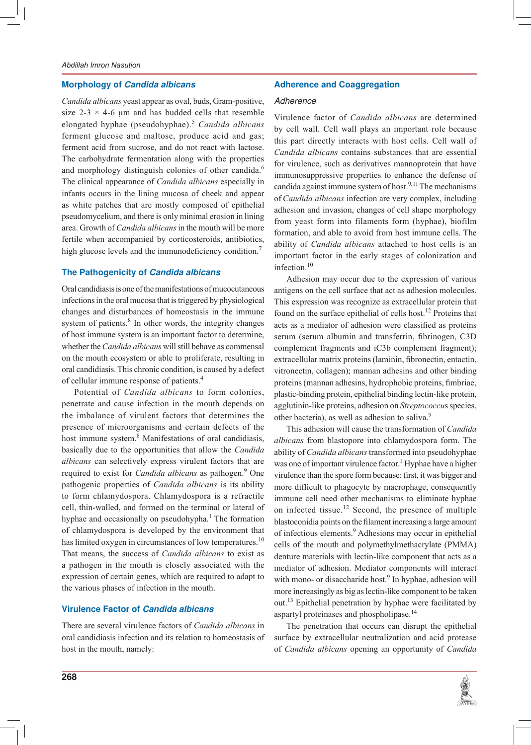## **Morphology of Candida albicans**

*Candida albicans* yeast appear as oval, buds, Gram-positive, size 2-3  $\times$  4-6 µm and has budded cells that resemble elongated hyphae (pseudohyphae).<sup>5</sup> *Candida albicans* ferment glucose and maltose, produce acid and gas; ferment acid from sucrose, and do not react with lactose. The carbohydrate fermentation along with the properties and morphology distinguish colonies of other candida.<sup>6</sup> The clinical appearance of *Candida albicans* especially in infants occurs in the lining mucosa of cheek and appear as white patches that are mostly composed of epithelial pseudomycelium, and there is only minimal erosion in lining area. Growth of *Candida albicans* in the mouth will be more fertile when accompanied by corticosteroids, antibiotics, high glucose levels and the immunodeficiency condition.<sup>7</sup>

# **The Pathogenicity of Candida albicans**

Oral candidiasis is one of the manifestations of mucocutaneous infections in the oral mucosa that is triggered by physiological changes and disturbances of homeostasis in the immune system of patients.<sup>8</sup> In other words, the integrity changes of host immune system is an important factor to determine, whether the *Candida albicans* will still behave as commensal on the mouth ecosystem or able to proliferate, resulting in oral candidiasis. This chronic condition, is caused by a defect of cellular immune response of patients.<sup>4</sup>

Potential of *Candida albicans* to form colonies, penetrate and cause infection in the mouth depends on the imbalance of virulent factors that determines the presence of microorganisms and certain defects of the host immune system.<sup>8</sup> Manifestations of oral candidiasis, basically due to the opportunities that allow the *Candida albicans* can selectively express virulent factors that are required to exist for *Candida albicans* as pathogen.<sup>9</sup> One pathogenic properties of *Candida albicans* is its ability to form chlamydospora. Chlamydospora is a refractile cell, thin-walled, and formed on the terminal or lateral of hyphae and occasionally on pseudohypha.<sup>1</sup> The formation of chlamydospora is developed by the environment that has limited oxygen in circumstances of low temperatures.<sup>10</sup> That means, the success of *Candida albicans* to exist as a pathogen in the mouth is closely associated with the expression of certain genes, which are required to adapt to the various phases of infection in the mouth.

#### **Virulence Factor of Candida albicans**

There are several virulence factors of *Candida albicans* in oral candidiasis infection and its relation to homeostasis of host in the mouth, namely:

### **Adherence and Coaggregation**

#### Adherence

Virulence factor of *Candida albicans* are determined by cell wall. Cell wall plays an important role because this part directly interacts with host cells. Cell wall of *Candida albicans* contains substances that are essential for virulence, such as derivatives mannoprotein that have immunosuppressive properties to enhance the defense of candida against immune system of host.<sup>9,11</sup> The mechanisms of *Candida albicans* infection are very complex, including adhesion and invasion, changes of cell shape morphology from yeast form into filaments form (hyphae), biofilm formation, and able to avoid from host immune cells. The ability of *Candida albicans* attached to host cells is an important factor in the early stages of colonization and infection.<sup>10</sup>

Adhesion may occur due to the expression of various antigens on the cell surface that act as adhesion molecules. This expression was recognize as extracellular protein that found on the surface epithelial of cells host.<sup>12</sup> Proteins that acts as a mediator of adhesion were classified as proteins serum (serum albumin and transferrin, fibrinogen, C3D complement fragments and iC3b complement fragment); extracellular matrix proteins (laminin, fibronectin, entactin, vitronectin, collagen); mannan adhesins and other binding proteins (mannan adhesins, hydrophobic proteins, fimbriae, plastic-binding protein, epithelial binding lectin-like protein, agglutinin-like proteins, adhesion on *Streptococcu*s species, other bacteria), as well as adhesion to saliva.<sup>9</sup>

This adhesion will cause the transformation of *Candida albicans* from blastopore into chlamydospora form. The ability of *Candida albicans* transformed into pseudohyphae was one of important virulence factor.<sup>1</sup> Hyphae have a higher virulence than the spore form because: first, it was bigger and more difficult to phagocyte by macrophage, consequently immune cell need other mechanisms to eliminate hyphae on infected tissue.<sup>12</sup> Second, the presence of multiple blastoconidia points on the filament increasing a large amount of infectious elements.<sup>9</sup> Adhesions may occur in epithelial cells of the mouth and polymethylmethacrylate (PMMA) denture materials with lectin-like component that acts as a mediator of adhesion. Mediator components will interact with mono- or disaccharide host.<sup>9</sup> In hyphae, adhesion will more increasingly as big as lectin-like component to be taken out.<sup>13</sup> Epithelial penetration by hyphae were facilitated by aspartyl proteinases and phospholipase.<sup>14</sup>

The penetration that occurs can disrupt the epithelial surface by extracellular neutralization and acid protease of *Candida albicans* opening an opportunity of *Candida* 

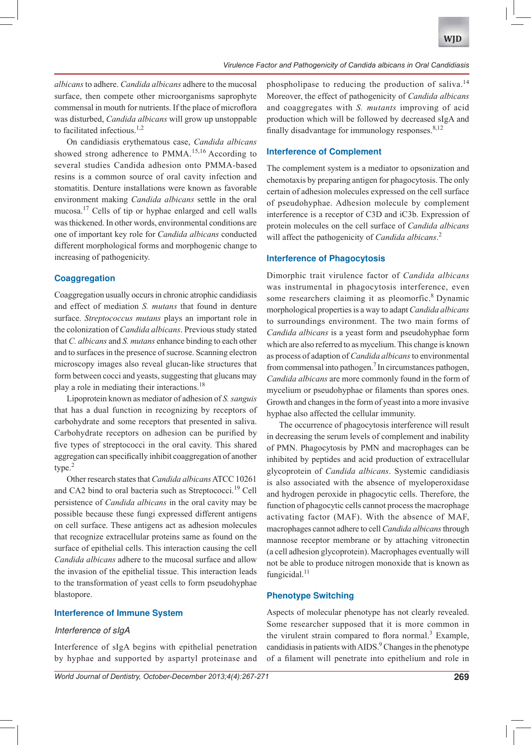*albicans* to adhere. *Candida albicans* adhere to the mucosal surface, then compete other microorganisms saprophyte commensal in mouth for nutrients. If the place of microflora was disturbed, *Candida albicans* will grow up unstoppable to facilitated infectious.<sup>1,2</sup>

On candidiasis erythematous case, *Candida albicans* showed strong adherence to  $PMMA$ <sup>15,16</sup> According to several studies Candida adhesion onto PMMA-based resins is a common source of oral cavity infection and stomatitis. Denture installations were known as favorable environment making *Candida albicans* settle in the oral mucosa.<sup>17</sup> Cells of tip or hyphae enlarged and cell walls was thickened. In other words, environmental conditions are one of important key role for *Candida albicans* conducted different morphological forms and morphogenic change to increasing of pathogenicity.

# **Coaggregation**

Coaggregation usually occurs in chronic atrophic candidiasis and effect of mediation *S. mutans* that found in denture surface. *Streptococcus mutans* plays an important role in the colonization of *Candida albicans*. Previous study stated that *C. albicans* and *S. mutans* enhance binding to each other and to surfaces in the presence of sucrose. Scanning electron microscopy images also reveal glucan-like structures that form between cocci and yeasts, suggesting that glucans may play a role in mediating their interactions.<sup>18</sup>

Lipoprotein known as mediator of adhesion of *S. sanguis*  that has a dual function in recognizing by receptors of carbohydrate and some receptors that presented in saliva. Carbohydrate receptors on adhesion can be purified by five types of streptococci in the oral cavity. This shared aggregation can specifically inhibit coaggregation of another type.<sup>2</sup>

Other research states that *Candida albicans* ATCC 10261 and CA2 bind to oral bacteria such as Streptococci.<sup>19</sup> Cell persistence of *Candida albicans* in the oral cavity may be possible because these fungi expressed different antigens on cell surface. These antigens act as adhesion molecules that recognize extracellular proteins same as found on the surface of epithelial cells. This interaction causing the cell *Candida albicans* adhere to the mucosal surface and allow the invasion of the epithelial tissue. This interaction leads to the transformation of yeast cells to form pseudohyphae blastopore.

## **Interference of Immune System**

#### Interference of sIgA

Interference of sIgA begins with epithelial penetration by hyphae and supported by aspartyl proteinase and

*World Journal of Dentistry, October-December 2013;4(4):267-271* **269**

phospholipase to reducing the production of saliva.<sup>14</sup> Moreover, the effect of pathogenicity of *Candida albicans* and coaggregates with *S. mutants* improving of acid production which will be followed by decreased sIgA and finally disadvantage for immunology responses. $8,12$ 

## **Interference of Complement**

The complement system is a mediator to opsonization and chemotaxis by preparing antigen for phagocytosis. The only certain of adhesion molecules expressed on the cell surface of pseudohyphae. Adhesion molecule by complement interference is a receptor of C3D and iC3b. Expression of protein molecules on the cell surface of *Candida albicans* will affect the pathogenicity of *Candida albicans*. 2

# **Interference of Phagocytosis**

Dimorphic trait virulence factor of Candida albicans was instrumental in phagocytosis interference, even some researchers claiming it as pleomorfic.<sup>8</sup> Dynamic morphological properties is a way to adapt *Candida albicans* to surroundings environment. The two main forms of *Candida albicans* is a yeast form and pseudohyphae form which are also referred to as mycelium. This change is known as process of adaption of *Candida albicans* to environmental from commensal into pathogen.<sup>7</sup> In circumstances pathogen, *Candida albicans* are more commonly found in the form of mycelium or pseudohyphae or filaments than spores ones. Growth and changes in the form of yeast into a more invasive hyphae also affected the cellular immunity.

The occurrence of phagocytosis interference will result in decreasing the serum levels of complement and inability of PMN. Phagocytosis by PMN and macrophages can be inhibited by peptides and acid production of extracellular glycoprotein of *Candida albicans*. Systemic candidiasis is also associated with the absence of myeloperoxidase and hydrogen peroxide in phagocytic cells. Therefore, the function of phagocytic cells cannot process the macrophage activating factor (MAF). With the absence of MAF, macrophages cannot adhere to cell *Candida albicans* through mannose receptor membrane or by attaching vitronectin (a cell adhesion glycoprotein). Macrophages eventually will not be able to produce nitrogen monoxide that is known as fungicidal.<sup>11</sup>

### **Phenotype Switching**

Aspects of molecular phenotype has not clearly revealed. Some researcher supposed that it is more common in the virulent strain compared to flora normal.<sup>3</sup> Example, candidiasis in patients with AIDS.<sup>9</sup> Changes in the phenotype of a filament will penetrate into epithelium and role in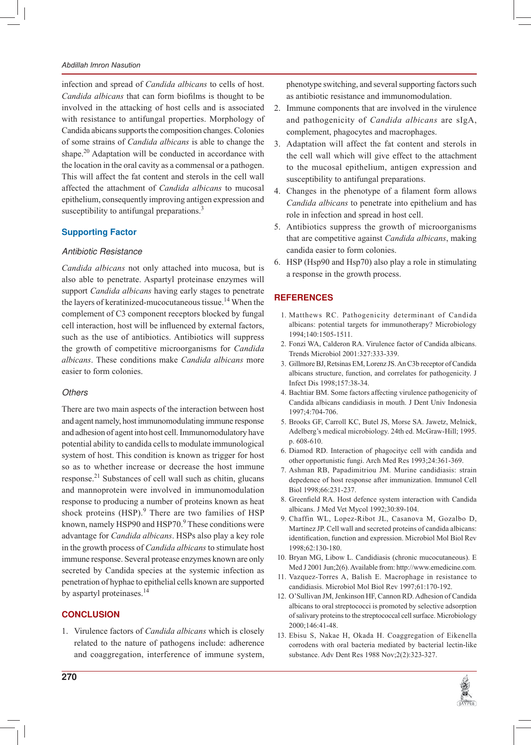#### *Abdillah Imron Nasution*

infection and spread of *Candida albicans* to cells of host. *Candida albicans* that can form biofilms is thought to be involved in the attacking of host cells and is associated with resistance to antifungal properties. Morphology of Candida abicans supports the composition changes. Colonies of some strains of *Candida albicans* is able to change the shape.<sup>20</sup> Adaptation will be conducted in accordance with the location in the oral cavity as a commensal or a pathogen. This will affect the fat content and sterols in the cell wall affected the attachment of *Candida albicans* to mucosal epithelium, consequently improving antigen expression and susceptibility to antifungal preparations.<sup>3</sup>

# **Supporting Factor**

#### Antibiotic Resistance

*Candida albicans* not only attached into mucosa, but is also able to penetrate. Aspartyl proteinase enzymes will support *Candida albicans* having early stages to penetrate the layers of keratinized-mucocutaneous tissue.<sup>14</sup> When the complement of C3 component receptors blocked by fungal cell interaction, host will be influenced by external factors, such as the use of antibiotics. Antibiotics will suppress the growth of competitive microorganisms for *Candida albicans*. These conditions make *Candida albicans* more easier to form colonies.

#### **Others**

There are two main aspects of the interaction between host and agent namely, host immunomodulating immune response and adhesion of agent into host cell. Immunomodulatory have potential ability to candida cells to modulate immunological system of host. This condition is known as trigger for host so as to whether increase or decrease the host immune response.<sup>21</sup> Substances of cell wall such as chitin, glucans and mannoprotein were involved in immunomodulation response to producing a number of proteins known as heat shock proteins  $(HSP)$ . There are two families of  $HSP$ known, namely HSP90 and HSP70.<sup>9</sup> These conditions were advantage for *Candida albicans*. HSPs also play a key role in the growth process of *Candida albicans* to stimulate host immune response. Several protease enzymes known are only secreted by Candida species at the systemic infection as penetration of hyphae to epithelial cells known are supported by aspartyl proteinases.<sup>14</sup>

# **CONCLUSION**

1. Virulence factors of *Candida albicans* which is closely related to the nature of pathogens include: adherence and coaggregation, interference of immune system, phenotype switching, and several supporting factors such as antibiotic resistance and immunomodulation.

- 2. Immune components that are involved in the virulence and pathogenicity of *Candida albicans* are sIgA, complement, phagocytes and macrophages.
- 3. Adaptation will affect the fat content and sterols in the cell wall which will give effect to the attachment to the mucosal epithelium, antigen expression and susceptibility to antifungal preparations.
- 4. Changes in the phenotype of a filament form allows *Candida albicans* to penetrate into epithelium and has role in infection and spread in host cell.
- 5. Antibiotics suppress the growth of microorganisms that are competitive against *Candida albicans*, making candida easier to form colonies.
- 6. HSP (Hsp90 and Hsp70) also play a role in stimulating a response in the growth process.

# **REFERENCES**

- 1. Matthews RC. Pathogenicity determinant of Candida albicans: potential targets for immunotherapy? Microbiology 1994;140:1505-1511.
- 2. Fonzi WA, Calderon RA. Virulence factor of Candida albicans. Trends Microbiol 2001:327:333-339.
- 3. Gillmore BJ, Retsinas EM, Lorenz JS. An C3b receptor of Candida albicans structure, function, and correlates for pathogenicity. J Infect Dis 1998;157:38-34.
- 4. Bachtiar BM. Some factors affecting virulence pathogenicity of Candida albicans candidiasis in mouth. J Dent Univ Indonesia 1997;4:704-706.
- 5. Brooks GF, Carroll KC, Butel JS, Morse SA. Jawetz, Melnick, Adelberg's medical microbiology. 24th ed. McGraw-Hill; 1995. p. 608-610.
- 6. Diamod RD. Interaction of phagocityc cell with candida and other opportunistic fungi. Arch Med Res 1993;24:361-369.
- 7. Ashman RB, Papadimitriou JM. Murine candidiasis: strain depedence of host response after immunization. Immunol Cell Biol 1998;66:231-237.
- 8. Greenfield RA. Host defence system interaction with Candida albicans. J Med Vet Mycol 1992;30:89-104.
- 9. Chaffin WL, Lopez-Ribot JL, Casanova M, Gozalbo D, Martínez JP. Cell wall and secreted proteins of candida albicans: identification, function and expression. Microbiol Mol Biol Rev 1998;62:130-180.
- 10. Bryan MG, Libow L. Candidiasis (chronic mucocutaneous). E Med J 2001 Jun;2(6). Available from: http://www.emedicine.com.
- 11. Vazquez-Torres A, Balish E. Macrophage in resistance to candidiasis. Microbiol Mol Biol Rev 1997;61:170-192.
- 12. O'Sullivan JM, Jenkinson HF, Cannon RD. Adhesion of Candida albicans to oral streptococci is promoted by selective adsorption of salivary proteins to the streptococcal cell surface. Microbiology 2000;146:41-48.
- 13. Ebisu S, Nakae H, Okada H. Coaggregation of Eikenella corrodens with oral bacteria mediated by bacterial lectin-like substance. Adv Dent Res 1988 Nov;2(2):323-327.